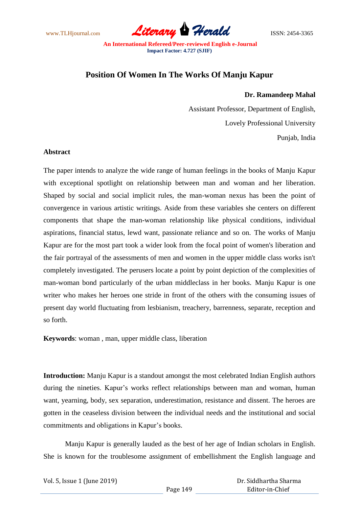www.TLHjournal.com **Literary Herald Herald** ISSN: 2454-3365

## **Position Of Women In The Works Of Manju Kapur**

## **Dr. Ramandeep Mahal**

Assistant Professor, Department of English, Lovely Professional University Punjab, India

## **Abstract**

The paper intends to analyze the wide range of human feelings in the books of Manju Kapur with exceptional spotlight on relationship between man and woman and her liberation. Shaped by social and social implicit rules, the man-woman nexus has been the point of convergence in various artistic writings. Aside from these variables she centers on different components that shape the man-woman relationship like physical conditions, individual aspirations, financial status, lewd want, passionate reliance and so on. The works of Manju Kapur are for the most part took a wider look from the focal point of women's liberation and the fair portrayal of the assessments of men and women in the upper middle class works isn't completely investigated. The perusers locate a point by point depiction of the complexities of man-woman bond particularly of the urban middleclass in her books. Manju Kapur is one writer who makes her heroes one stride in front of the others with the consuming issues of present day world fluctuating from lesbianism, treachery, barrenness, separate, reception and so forth.

**Keywords**: woman , man, upper middle class, liberation

**Introduction:** Manju Kapur is a standout amongst the most celebrated Indian English authors during the nineties. Kapur's works reflect relationships between man and woman, human want, yearning, body, sex separation, underestimation, resistance and dissent. The heroes are gotten in the ceaseless division between the individual needs and the institutional and social commitments and obligations in Kapur"s books.

Manju Kapur is generally lauded as the best of her age of Indian scholars in English. She is known for the troublesome assignment of embellishment the English language and

| Vol. 5, Issue 1 (June 2019) |  |
|-----------------------------|--|
|-----------------------------|--|

 Dr. Siddhartha Sharma Editor-in-Chief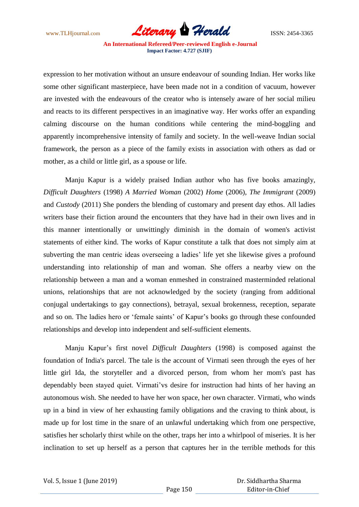www.TLHjournal.com **Literary Herald Herald** ISSN: 2454-3365

expression to her motivation without an unsure endeavour of sounding Indian. Her works like some other significant masterpiece, have been made not in a condition of vacuum, however are invested with the endeavours of the creator who is intensely aware of her social milieu and reacts to its different perspectives in an imaginative way. Her works offer an expanding calming discourse on the human conditions while centering the mind-boggling and apparently incomprehensive intensity of family and society. In the well-weave Indian social framework, the person as a piece of the family exists in association with others as dad or mother, as a child or little girl, as a spouse or life.

Manju Kapur is a widely praised Indian author who has five books amazingly, *Difficult Daughters* (1998) *A Married Woman* (2002) *Home* (2006), *The Immigrant* (2009) and *Custody* (2011) She ponders the blending of customary and present day ethos. All ladies writers base their fiction around the encounters that they have had in their own lives and in this manner intentionally or unwittingly diminish in the domain of women's activist statements of either kind. The works of Kapur constitute a talk that does not simply aim at subverting the man centric ideas overseeing a ladies' life yet she likewise gives a profound understanding into relationship of man and woman. She offers a nearby view on the relationship between a man and a woman enmeshed in constrained masterminded relational unions, relationships that are not acknowledged by the society (ranging from additional conjugal undertakings to gay connections), betrayal, sexual brokenness, reception, separate and so on. The ladies hero or "female saints" of Kapur"s books go through these confounded relationships and develop into independent and self-sufficient elements.

Manju Kapur"s first novel *Difficult Daughters* (1998) is composed against the foundation of India's parcel. The tale is the account of Virmati seen through the eyes of her little girl Ida, the storyteller and a divorced person, from whom her mom's past has dependably been stayed quiet. Virmati"vs desire for instruction had hints of her having an autonomous wish. She needed to have her won space, her own character. Virmati, who winds up in a bind in view of her exhausting family obligations and the craving to think about, is made up for lost time in the snare of an unlawful undertaking which from one perspective, satisfies her scholarly thirst while on the other, traps her into a whirlpool of miseries. It is her inclination to set up herself as a person that captures her in the terrible methods for this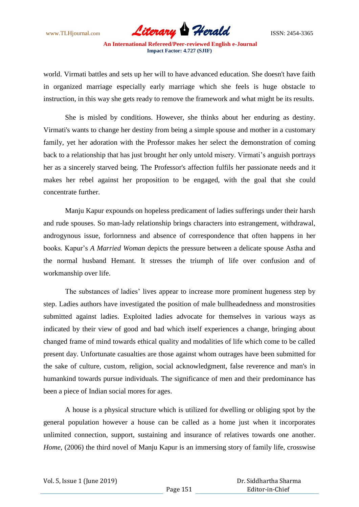www.TLHjournal.com *Literary Herald*ISSN: 2454-3365

world. Virmati battles and sets up her will to have advanced education. She doesn't have faith in organized marriage especially early marriage which she feels is huge obstacle to instruction, in this way she gets ready to remove the framework and what might be its results.

She is misled by conditions. However, she thinks about her enduring as destiny. Virmati's wants to change her destiny from being a simple spouse and mother in a customary family, yet her adoration with the Professor makes her select the demonstration of coming back to a relationship that has just brought her only untold misery. Virmati"s anguish portrays her as a sincerely starved being. The Professor's affection fulfils her passionate needs and it makes her rebel against her proposition to be engaged, with the goal that she could concentrate further.

Manju Kapur expounds on hopeless predicament of ladies sufferings under their harsh and rude spouses. So man-lady relationship brings characters into estrangement, withdrawal, androgynous issue, forlornness and absence of correspondence that often happens in her books. Kapur"s *A Married Woman* depicts the pressure between a delicate spouse Astha and the normal husband Hemant. It stresses the triumph of life over confusion and of workmanship over life.

The substances of ladies' lives appear to increase more prominent hugeness step by step. Ladies authors have investigated the position of male bullheadedness and monstrosities submitted against ladies. Exploited ladies advocate for themselves in various ways as indicated by their view of good and bad which itself experiences a change, bringing about changed frame of mind towards ethical quality and modalities of life which come to be called present day. Unfortunate casualties are those against whom outrages have been submitted for the sake of culture, custom, religion, social acknowledgment, false reverence and man's in humankind towards pursue individuals. The significance of men and their predominance has been a piece of Indian social mores for ages.

A house is a physical structure which is utilized for dwelling or obliging spot by the general population however a house can be called as a home just when it incorporates unlimited connection, support, sustaining and insurance of relatives towards one another. *Home*, (2006) the third novel of Manju Kapur is an immersing story of family life, crosswise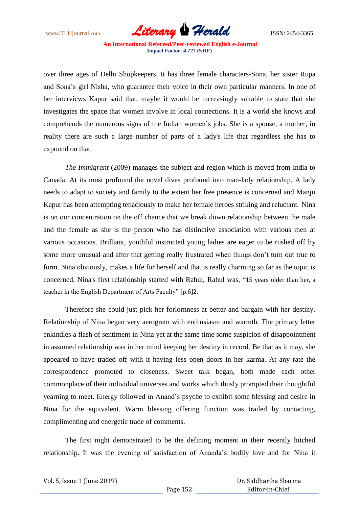www.TLHjournal.com *Literary Herald*ISSN: 2454-3365

over three ages of Delhi Shopkeepers. It has three female characters-Sona, her sister Rupa and Sona"s girl Nisha, who guarantee their voice in their own particular manners. In one of her interviews Kapur said that, maybe it would be increasingly suitable to state that she investigates the space that women involve in local connections. It is a world she knows and comprehends the numerous signs of the Indian women"s jobs. She is a spouse, a mother, in reality there are such a large number of parts of a lady's life that regardless she has to expound on that.

*The Immigrant* (2009) manages the subject and region which is moved from India to Canada. At its most profound the novel dives profound into man-lady relationship. A lady needs to adapt to society and family to the extent her free presence is concerned and Manju Kapur has been attempting tenaciously to make her female heroes striking and reluctant. Nina is on our concentration on the off chance that we break down relationship between the male and the female as she is the person who has distinctive association with various men at various occasions. Brilliant, youthful instructed young ladies are eager to be rushed off by some more unusual and after that getting really frustrated when things don"t turn out true to form. Nina obviously, makes a life for herself and that is really charming so far as the topic is concerned. Nina's first relationship started with Rahul, Rahul was, "15 years older than her, a teacher in the English Department of Arts Faculty" [p.6]2.

Therefore she could just pick her forlornness at better and bargain with her destiny. Relationship of Nina began very aerogram with enthusiasm and warmth. The primary letter enkindles a flash of sentiment in Nina yet at the same time some suspicion of disappointment in assumed relationship was in her mind keeping her destiny in record. Be that as it may, she appeared to have traded off with it having less open doors in her karma. At any rate the correspondence promoted to closeness. Sweet talk began, both made each other commonplace of their individual universes and works which thusly prompted their thoughtful yearning to meet. Energy followed in Anand"s psyche to exhibit some blessing and desire in Nina for the equivalent. Warm blessing offering function was trailed by contacting, complimenting and energetic trade of comments.

The first night demonstrated to be the defining moment in their recently hitched relationship. It was the evening of satisfaction of Ananda"s bodily love and for Nina it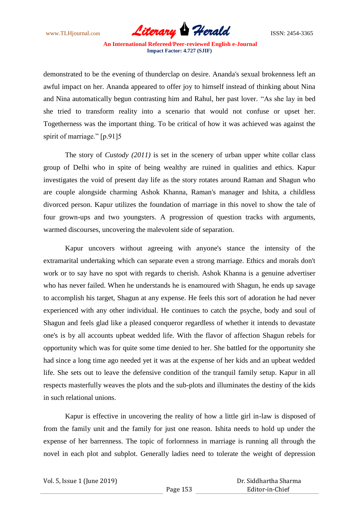www.TLHjournal.com **Literary Herald Herald** ISSN: 2454-3365

demonstrated to be the evening of thunderclap on desire. Ananda's sexual brokenness left an awful impact on her. Ananda appeared to offer joy to himself instead of thinking about Nina and Nina automatically begun contrasting him and Rahul, her past lover. "As she lay in bed she tried to transform reality into a scenario that would not confuse or upset her. Togetherness was the important thing. To be critical of how it was achieved was against the spirit of marriage." [p.91]5

The story of *Custody (2011)* is set in the scenery of urban upper white collar class group of Delhi who in spite of being wealthy are ruined in qualities and ethics. Kapur investigates the void of present day life as the story rotates around Raman and Shagun who are couple alongside charming Ashok Khanna, Raman's manager and Ishita, a childless divorced person. Kapur utilizes the foundation of marriage in this novel to show the tale of four grown-ups and two youngsters. A progression of question tracks with arguments, warmed discourses, uncovering the malevolent side of separation.

Kapur uncovers without agreeing with anyone's stance the intensity of the extramarital undertaking which can separate even a strong marriage. Ethics and morals don't work or to say have no spot with regards to cherish. Ashok Khanna is a genuine advertiser who has never failed. When he understands he is enamoured with Shagun, he ends up savage to accomplish his target, Shagun at any expense. He feels this sort of adoration he had never experienced with any other individual. He continues to catch the psyche, body and soul of Shagun and feels glad like a pleased conqueror regardless of whether it intends to devastate one's is by all accounts upbeat wedded life. With the flavor of affection Shagun rebels for opportunity which was for quite some time denied to her. She battled for the opportunity she had since a long time ago needed yet it was at the expense of her kids and an upbeat wedded life. She sets out to leave the defensive condition of the tranquil family setup. Kapur in all respects masterfully weaves the plots and the sub-plots and illuminates the destiny of the kids in such relational unions.

Kapur is effective in uncovering the reality of how a little girl in-law is disposed of from the family unit and the family for just one reason. Ishita needs to hold up under the expense of her barrenness. The topic of forlornness in marriage is running all through the novel in each plot and subplot. Generally ladies need to tolerate the weight of depression